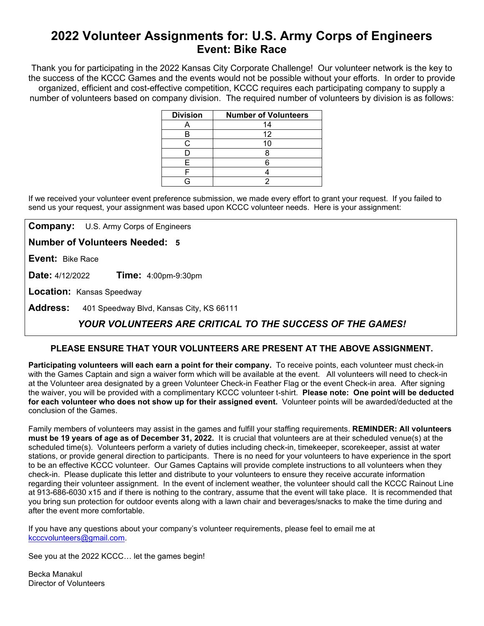# **2022 Volunteer Assignments for: U.S. Army Corps of Engineers Event: Bike Race**

Thank you for participating in the 2022 Kansas City Corporate Challenge! Our volunteer network is the key to the success of the KCCC Games and the events would not be possible without your efforts.In order to provide organized, efficient and cost-effective competition, KCCC requires each participating company to supply a number of volunteers based on company division. The required number of volunteers by division is as follows:

| <b>Division</b> | <b>Number of Volunteers</b> |
|-----------------|-----------------------------|
|                 | 14                          |
|                 | 12                          |
| ◠               |                             |
|                 |                             |
| F               |                             |
|                 |                             |
|                 |                             |

If we received your volunteer event preference submission, we made every effort to grant your request. If you failed to send us your request, your assignment was based upon KCCC volunteer needs. Here is your assignment:

**Company:** U.S. Army Corps of Engineers

**Number of Volunteers Needed: 5**

**Event:** Bike Race

**Date:** 4/12/2022 **Time:** 4:00pm-9:30pm

**Location:** Kansas Speedway

**Address:** 401 Speedway Blvd, Kansas City, KS 66111

## *YOUR VOLUNTEERS ARE CRITICAL TO THE SUCCESS OF THE GAMES!*

### **PLEASE ENSURE THAT YOUR VOLUNTEERS ARE PRESENT AT THE ABOVE ASSIGNMENT.**

**Participating volunteers will each earn a point for their company.** To receive points, each volunteer must check-in with the Games Captain and sign a waiver form which will be available at the event. All volunteers will need to check-in at the Volunteer area designated by a green Volunteer Check-in Feather Flag or the event Check-in area. After signing the waiver, you will be provided with a complimentary KCCC volunteer t-shirt. **Please note: One point will be deducted for each volunteer who does not show up for their assigned event.** Volunteer points will be awarded/deducted at the conclusion of the Games.

Family members of volunteers may assist in the games and fulfill your staffing requirements. **REMINDER: All volunteers must be 19 years of age as of December 31, 2022.** It is crucial that volunteers are at their scheduled venue(s) at the scheduled time(s). Volunteers perform a variety of duties including check-in, timekeeper, scorekeeper, assist at water stations, or provide general direction to participants. There is no need for your volunteers to have experience in the sport to be an effective KCCC volunteer. Our Games Captains will provide complete instructions to all volunteers when they check-in. Please duplicate this letter and distribute to your volunteers to ensure they receive accurate information regarding their volunteer assignment. In the event of inclement weather, the volunteer should call the KCCC Rainout Line at 913-686-6030 x15 and if there is nothing to the contrary, assume that the event will take place. It is recommended that you bring sun protection for outdoor events along with a lawn chair and beverages/snacks to make the time during and after the event more comfortable.

If you have any questions about your company's volunteer requirements, please feel to email me at [kcccvolunteers@gmail.com.](mailto:kcccvolunteers@gmail.com)

See you at the 2022 KCCC… let the games begin!

Becka Manakul Director of Volunteers